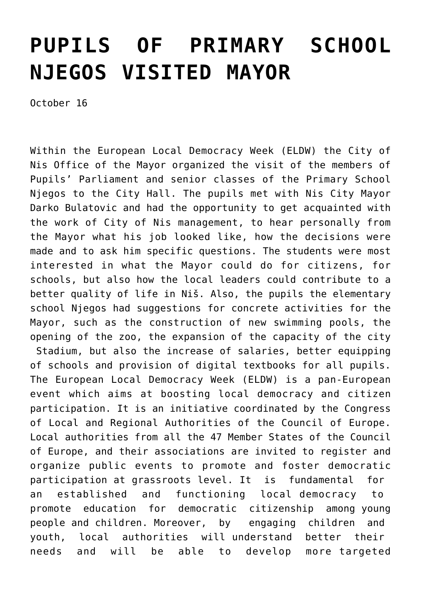## **[PUPILS OF PRIMARY SCHOOL](https://www.gu.ni.rs/2019/10/16/pupils-of-primary-school-njegos-visited-mayor/) [NJEGOS VISITED MAYOR](https://www.gu.ni.rs/2019/10/16/pupils-of-primary-school-njegos-visited-mayor/)**

October 16

Within the European Local Democracy Week (ELDW) the City of Nis Office of the Mayor organized the visit of the members of Pupils' Parliament and senior classes of the Primary School Njegos to the City Hall. The pupils met with Nis City Mayor Darko Bulatovic and had the opportunity to get acquainted with the work of City of Nis management, to hear personally from the Mayor what his job looked like, how the decisions were made and to ask him specific questions. The students were most interested in what the Mayor could do for citizens, for schools, but also how the local leaders could contribute to a better quality of life in Niš. Also, the pupils the elementary school Njegos had suggestions for concrete activities for the Mayor, such as the construction of new swimming pools, the opening of the zoo, the expansion of the capacity of the city Stadium, but also the increase of salaries, better equipping of schools and provision of digital textbooks for all pupils. The European Local Democracy Week (ELDW) is a pan-European event which aims at boosting local democracy and citizen participation. It is an initiative coordinated by the Congress of Local and Regional Authorities of the Council of Europe. Local authorities from all the 47 Member States of the Council of Europe, and their associations are invited to register and organize public events to promote and foster democratic participation at grassroots level. It is fundamental for an established and functioning local democracy to promote education for democratic citizenship among young people and children. Moreover, by engaging children and youth, local authorities will understand better their needs and will be able to develop more targeted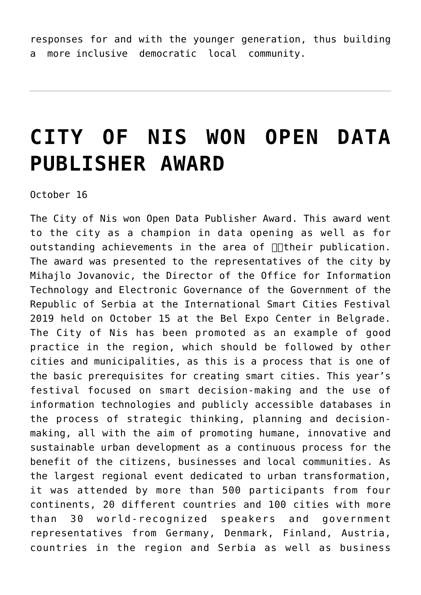responses for and with the younger generation, thus building a more inclusive democratic local community.

## **[CITY OF NIS WON OPEN DATA](https://www.gu.ni.rs/2019/10/16/city-of-nis-won-open-data-publisher-award/) [PUBLISHER AWARD](https://www.gu.ni.rs/2019/10/16/city-of-nis-won-open-data-publisher-award/)**

October 16

The City of Nis won Open Data Publisher Award. This award went to the city as a champion in data opening as well as for outstanding achievements in the area of  $\Box\Box$  their publication. The award was presented to the representatives of the city by Mihajlo Jovanovic, the Director of the Office for Information Technology and Electronic Governance of the Government of the Republic of Serbia at the International Smart Cities Festival 2019 held on October 15 at the Bel Expo Center in Belgrade. The City of Nis has been promoted as an example of good practice in the region, which should be followed by other cities and municipalities, as this is a process that is one of the basic prerequisites for creating smart cities. This year's festival focused on smart decision-making and the use of information technologies and publicly accessible databases in the process of strategic thinking, planning and decisionmaking, all with the aim of promoting humane, innovative and sustainable urban development as a continuous process for the benefit of the citizens, businesses and local communities. As the largest regional event dedicated to urban transformation, it was attended by more than 500 participants from four continents, 20 different countries and 100 cities with more than 30 world-recognized speakers and government representatives from Germany, Denmark, Finland, Austria, countries in the region and Serbia as well as business